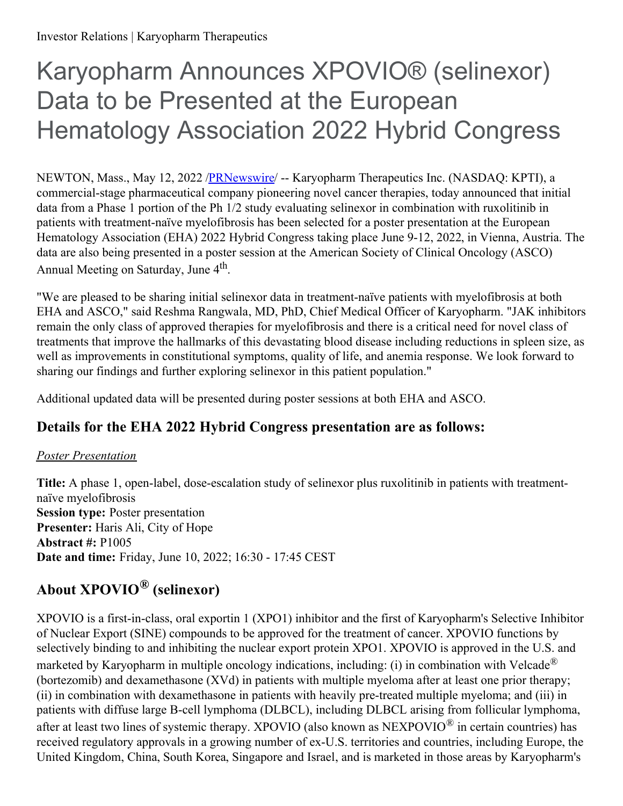# Karyopharm Announces XPOVIO® (selinexor) Data to be Presented at the European Hematology Association 2022 Hybrid Congress

NEWTON, Mass., May 12, 2022 [/PRNewswire](http://www.prnewswire.com/)/ -- Karyopharm Therapeutics Inc. (NASDAQ: KPTI), a commercial-stage pharmaceutical company pioneering novel cancer therapies, today announced that initial data from a Phase 1 portion of the Ph 1/2 study evaluating selinexor in combination with ruxolitinib in patients with treatment-naïve myelofibrosis has been selected for a poster presentation at the European Hematology Association (EHA) 2022 Hybrid Congress taking place June 9-12, 2022, in Vienna, Austria. The data are also being presented in a poster session at the American Society of Clinical Oncology (ASCO) Annual Meeting on Saturday, June 4<sup>th</sup>.

"We are pleased to be sharing initial selinexor data in treatment-naïve patients with myelofibrosis at both EHA and ASCO," said Reshma Rangwala, MD, PhD, Chief Medical Officer of Karyopharm. "JAK inhibitors remain the only class of approved therapies for myelofibrosis and there is a critical need for novel class of treatments that improve the hallmarks of this devastating blood disease including reductions in spleen size, as well as improvements in constitutional symptoms, quality of life, and anemia response. We look forward to sharing our findings and further exploring selinexor in this patient population."

Additional updated data will be presented during poster sessions at both EHA and ASCO.

## **Details for the EHA 2022 Hybrid Congress presentation are as follows:**

#### *Poster Presentation*

**Title:** A phase 1, open-label, dose-escalation study of selinexor plus ruxolitinib in patients with treatmentnaïve myelofibrosis **Session type:** Poster presentation **Presenter:** Haris Ali, City of Hope **Abstract #:** P1005 **Date and time:** Friday, June 10, 2022; 16:30 - 17:45 CEST

# **About XPOVIO® (selinexor)**

XPOVIO is a first-in-class, oral exportin 1 (XPO1) inhibitor and the first of Karyopharm's Selective Inhibitor of Nuclear Export (SINE) compounds to be approved for the treatment of cancer. XPOVIO functions by selectively binding to and inhibiting the nuclear export protein XPO1. XPOVIO is approved in the U.S. and marketed by Karyopharm in multiple oncology indications, including: (i) in combination with Velcade<sup>®</sup> (bortezomib) and dexamethasone (XVd) in patients with multiple myeloma after at least one prior therapy; (ii) in combination with dexamethasone in patients with heavily pre-treated multiple myeloma; and (iii) in patients with diffuse large B-cell lymphoma (DLBCL), including DLBCL arising from follicular lymphoma, after at least two lines of systemic therapy. XPOVIO (also known as NEXPOVIO $^{\circledR}$  in certain countries) has received regulatory approvals in a growing number of ex-U.S. territories and countries, including Europe, the United Kingdom, China, South Korea, Singapore and Israel, and is marketed in those areas by Karyopharm's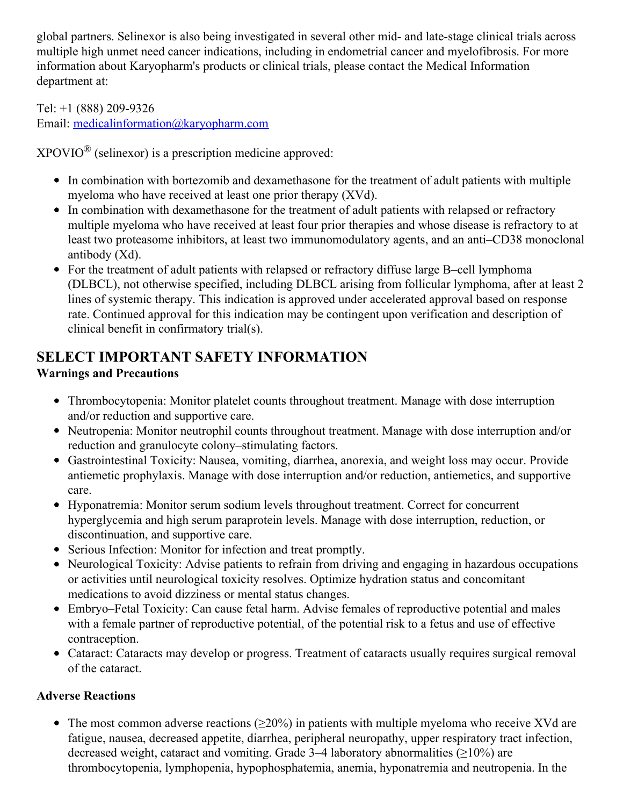global partners. Selinexor is also being investigated in several other mid- and late-stage clinical trials across multiple high unmet need cancer indications, including in endometrial cancer and myelofibrosis. For more information about Karyopharm's products or clinical trials, please contact the Medical Information department at:

Tel: +1 (888) 209-9326

Email: [medicalinformation@karyopharm.com](mailto:medicalinformation@karyopharm.com)

 $XPOVIO^{\circledR}$  (selinexor) is a prescription medicine approved:

- In combination with bortezomib and dexamethasone for the treatment of adult patients with multiple myeloma who have received at least one prior therapy (XVd).
- In combination with dexamethasone for the treatment of adult patients with relapsed or refractory multiple myeloma who have received at least four prior therapies and whose disease is refractory to at least two proteasome inhibitors, at least two immunomodulatory agents, and an anti–CD38 monoclonal antibody (Xd).
- For the treatment of adult patients with relapsed or refractory diffuse large B–cell lymphoma (DLBCL), not otherwise specified, including DLBCL arising from follicular lymphoma, after at least 2 lines of systemic therapy. This indication is approved under accelerated approval based on response rate. Continued approval for this indication may be contingent upon verification and description of clinical benefit in confirmatory trial(s).

# **SELECT IMPORTANT SAFETY INFORMATION**

### **Warnings and Precautions**

- Thrombocytopenia: Monitor platelet counts throughout treatment. Manage with dose interruption and/or reduction and supportive care.
- Neutropenia: Monitor neutrophil counts throughout treatment. Manage with dose interruption and/or reduction and granulocyte colony–stimulating factors.
- Gastrointestinal Toxicity: Nausea, vomiting, diarrhea, anorexia, and weight loss may occur. Provide antiemetic prophylaxis. Manage with dose interruption and/or reduction, antiemetics, and supportive care.
- Hyponatremia: Monitor serum sodium levels throughout treatment. Correct for concurrent hyperglycemia and high serum paraprotein levels. Manage with dose interruption, reduction, or discontinuation, and supportive care.
- Serious Infection: Monitor for infection and treat promptly.
- Neurological Toxicity: Advise patients to refrain from driving and engaging in hazardous occupations or activities until neurological toxicity resolves. Optimize hydration status and concomitant medications to avoid dizziness or mental status changes.
- Embryo–Fetal Toxicity: Can cause fetal harm. Advise females of reproductive potential and males with a female partner of reproductive potential, of the potential risk to a fetus and use of effective contraception.
- Cataract: Cataracts may develop or progress. Treatment of cataracts usually requires surgical removal of the cataract.

### **Adverse Reactions**

• The most common adverse reactions ( $\geq 20\%$ ) in patients with multiple myeloma who receive XVd are fatigue, nausea, decreased appetite, diarrhea, peripheral neuropathy, upper respiratory tract infection, decreased weight, cataract and vomiting. Grade  $3-4$  laboratory abnormalities ( $\geq$ 10%) are thrombocytopenia, lymphopenia, hypophosphatemia, anemia, hyponatremia and neutropenia. In the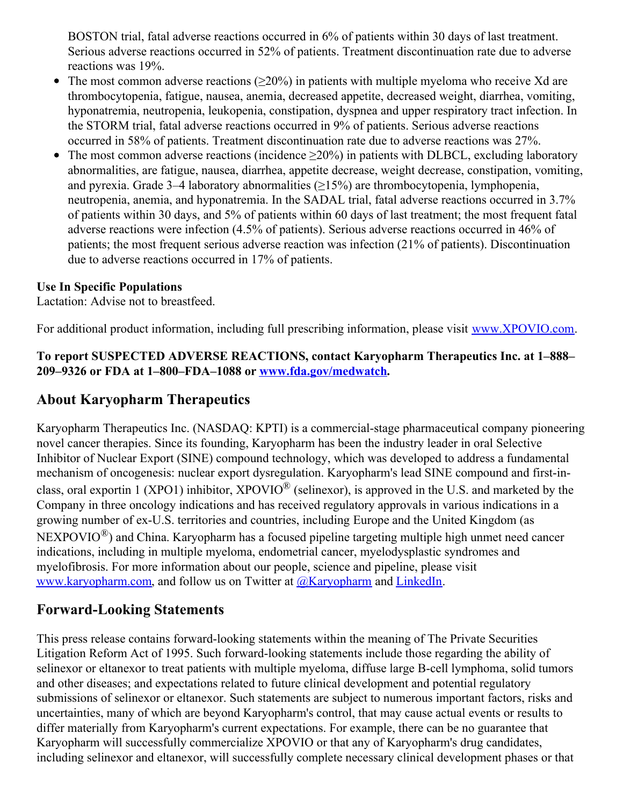BOSTON trial, fatal adverse reactions occurred in 6% of patients within 30 days of last treatment. Serious adverse reactions occurred in 52% of patients. Treatment discontinuation rate due to adverse reactions was 19%.

- The most common adverse reactions ( $\geq 20\%$ ) in patients with multiple myeloma who receive Xd are thrombocytopenia, fatigue, nausea, anemia, decreased appetite, decreased weight, diarrhea, vomiting, hyponatremia, neutropenia, leukopenia, constipation, dyspnea and upper respiratory tract infection. In the STORM trial, fatal adverse reactions occurred in 9% of patients. Serious adverse reactions occurred in 58% of patients. Treatment discontinuation rate due to adverse reactions was 27%.
- The most common adverse reactions (incidence  $\geq 20\%$ ) in patients with DLBCL, excluding laboratory abnormalities, are fatigue, nausea, diarrhea, appetite decrease, weight decrease, constipation, vomiting, and pyrexia. Grade 3–4 laboratory abnormalities  $(≥15%)$  are thrombocytopenia, lymphopenia, neutropenia, anemia, and hyponatremia. In the SADAL trial, fatal adverse reactions occurred in 3.7% of patients within 30 days, and 5% of patients within 60 days of last treatment; the most frequent fatal adverse reactions were infection (4.5% of patients). Serious adverse reactions occurred in 46% of patients; the most frequent serious adverse reaction was infection (21% of patients). Discontinuation due to adverse reactions occurred in 17% of patients.

#### **Use In Specific Populations**

Lactation: Advise not to breastfeed.

For additional product information, including full prescribing information, please visit [www.XPOVIO.com](http://www.xpovio.com).

#### **To report SUSPECTED ADVERSE REACTIONS, contact Karyopharm Therapeutics Inc. at 1–888– 209–9326 or FDA at 1–800–FDA–1088 or [www.fda.gov/medwatch](http://www.fda.gov/medwatch).**

## **About Karyopharm Therapeutics**

Karyopharm Therapeutics Inc. (NASDAQ: KPTI) is a commercial-stage pharmaceutical company pioneering novel cancer therapies. Since its founding, Karyopharm has been the industry leader in oral Selective Inhibitor of Nuclear Export (SINE) compound technology, which was developed to address a fundamental mechanism of oncogenesis: nuclear export dysregulation. Karyopharm's lead SINE compound and first-inclass, oral exportin 1 (XPO1) inhibitor, XPOVIO<sup>®</sup> (selinexor), is approved in the U.S. and marketed by the Company in three oncology indications and has received regulatory approvals in various indications in a growing number of ex-U.S. territories and countries, including Europe and the United Kingdom (as  $NEXPOVIO^{\circledR})$  and China. Karyopharm has a focused pipeline targeting multiple high unmet need cancer indications, including in multiple myeloma, endometrial cancer, myelodysplastic syndromes and myelofibrosis. For more information about our people, science and pipeline, please visit [www.karyopharm.com](https://c212.net/c/link/?t=0&l=en&o=3534414-1&h=2975715186&u=http%3A%2F%2Fwww.karyopharm.com%2F&a=www.karyopharm.com), and follow us on Twitter at  $\omega$ Karyopharm and [LinkedIn](https://c212.net/c/link/?t=0&l=en&o=3534414-1&h=4136881701&u=https%3A%2F%2Fwww.linkedin.com%2Fcompany%2Fkaryopharm%2F&a=LinkedIn).

### **Forward-Looking Statements**

This press release contains forward-looking statements within the meaning of The Private Securities Litigation Reform Act of 1995. Such forward-looking statements include those regarding the ability of selinexor or eltanexor to treat patients with multiple myeloma, diffuse large B-cell lymphoma, solid tumors and other diseases; and expectations related to future clinical development and potential regulatory submissions of selinexor or eltanexor. Such statements are subject to numerous important factors, risks and uncertainties, many of which are beyond Karyopharm's control, that may cause actual events or results to differ materially from Karyopharm's current expectations. For example, there can be no guarantee that Karyopharm will successfully commercialize XPOVIO or that any of Karyopharm's drug candidates, including selinexor and eltanexor, will successfully complete necessary clinical development phases or that